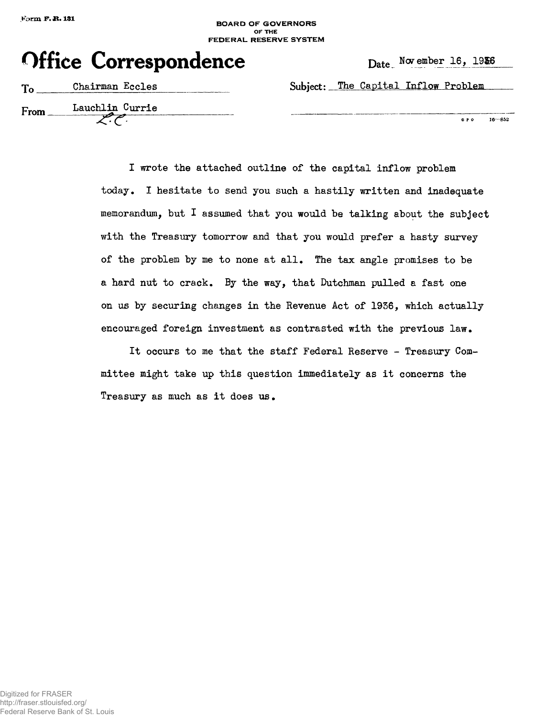# **BOARD OF GOVERNORS OF\* THE FEDERAL RESERVE SYSTEM**

|  | <b>Office Correspondence</b> | Date |
|--|------------------------------|------|
|--|------------------------------|------|

| T <sub>0</sub> | Chairman Eccles | Subject: The Capital Inflow Problem |
|----------------|-----------------|-------------------------------------|
| From           | Lauchlin Currie | G P O                               |

**G P 0 16—852**

I wrote the attached outline of the capital inflow problem today. I hesitate to send you such a hastily written and inadequate memorandum, but  $I$  assumed that you would be talking about the subject with the Treasury tomorrow and that you would prefer a hasty survey of the problem by me to none at all. The tax angle promises to be a hard nut to crack. By the way, that Dutchman pulled a fast one on us by securing changes in the Revenue Act of 1936, which actually encouraged foreign investment as contrasted with the previous law.

It occurs to me that the staff Federal Reserve - Treasury Committee might take up this question immediately as it concerns the Treasury as much as it does us.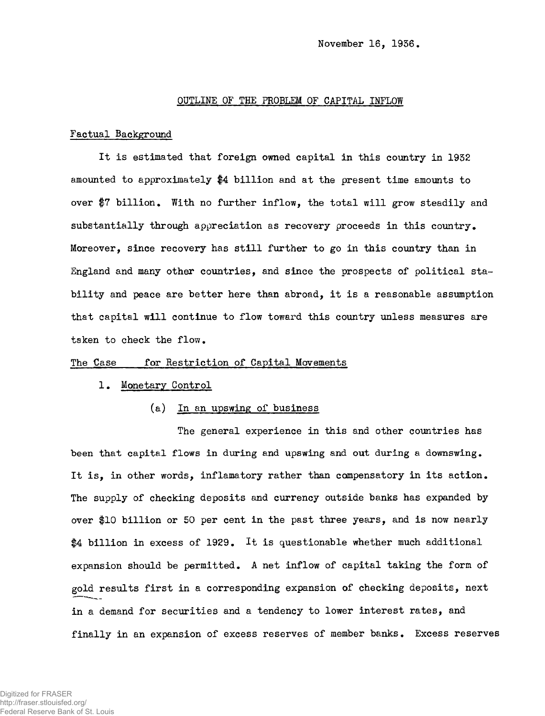## OUTLINE OF THE PROBLEM OF CAPITAL INFLOW

### Factual Background

It is estimated that foreign owned capital in this country in 1932 amounted to approximately \$4 billion and at the present time amounts to over \$7 billion. With no further inflow, the total will grow steadily and substantially through appreciation as recovery proceeds in this country. Moreover, since recovery has still further to go in this country than in England and many other countries, and since the prospects of political stability and peace are better here than abroad, it is a reasonable assumption that capital will continue to flow toward this country unless measures are taken to check the flow.

## The Case for Restriction of Capital Movements

### 1. Monetary Control

# (a) In an upswing of business

The general experience in this and other countries has been that capital flows in during and upswing and out during a downswing. It is, in other words, inflamatory rather than compensatory in its action. The supply of checking deposits and currency outside banks has expanded by over \$10 billion or 50 per cent in the past three years, and is now nearly \$4 billion in excess of 1929. It is questionable whether much additional expansion should be permitted. A net inflow of capital taking the form of gold results first in a corresponding expansion of checking deposits, next in a demand for securities and a tendency to lower interest rates, and finally in an expansion of excess reserves of member banks. Excess reserves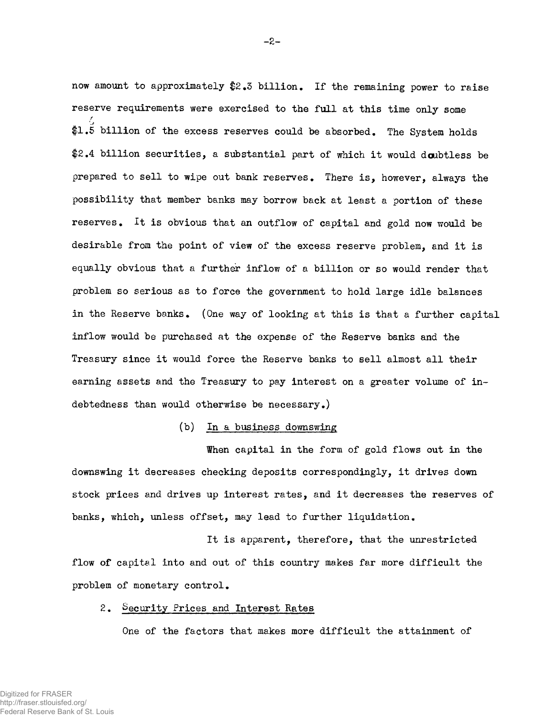now amount to approximately \$2.3 billion. If the remaining power to raise reserve requirements were exercised to the full at this time only some  $1.5$  billion of the excess reserves could be absorbed. The System holds \$2.4 billion securities, a substantial part of which it would doubtless be prepared to sell to wipe out bank reserves. There is, however, always the possibility that member banks may borrow back at least a portion of these reserves. It is obvious that an outflow of capital and gold now would be desirable from the point of view of the excess reserve problem, and it is equally obvious that a further inflow of a billion or so would render that problem so serious as to force the government to hold large idle balances in the Reserve banks. (One way of looking at this is that a further capital inflow would be purchased at the expense of the Reserve banks and the Treasury since it would force the Reserve banks to sell almost all their earning assets and the Treasury to pay interest on a greater volume of indebtedness than would otherwise be necessary.)

## (b) In a business downswing

When capital in the form of gold flows out in the downswing it decreases checking deposits correspondingly, it drives down stock prices and drives up interest rates, and it decreases the reserves of banks, which, unless offset, may lead to further liquidation.

It is apparent, therefore, that the unrestricted flow of capital into and out of this country makes far more difficult the problem of monetary control.

# 2. Security Prices and Interest Rates

One of the factors that makes more difficult the attainment of

-2-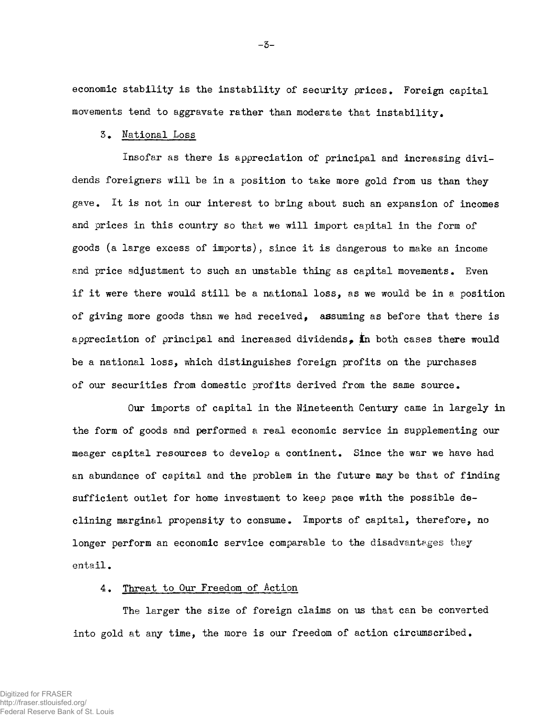economic stability is the instability of security prices. Foreign capital movements tend to aggravate rather than moderate that instability.

# 3. National Loss

Insofar as there is appreciation of principal and increasing dividends foreigners will be in a position to take more gold from us than they gave. It is not in our interest to bring about such an expansion of incomes and prices in this country so that we will import capital in the form of goods (a large excess of imports), since it is dangerous to make an income and price adjustment to such an unstable thing as capital movements. Even if it were there would still be a national loss, as we would be in a position of giving more goods than we had received, assuming as before that there is appreciation of principal and increased dividends. In both cases there would be a national loss, which distinguishes foreign profits on the purchases of our securities from domestic profits derived from the same source.

Our imports of capital in the Nineteenth Century came in largely in the form of goods and performed a real economic service in supplementing our meager capital resources to develop a continent. Since the war we have had an abundance of capital and the problem in the future may be that of finding sufficient outlet for home investment to keep pace with the possible declining marginal propensity to consume. Imports of capital, therefore, no longer perform an economic service comparable to the disadvantages they entail.

## 4. Threat to Our Freedom of Action

The larger the size of foreign claims on us that can be converted into gold at any time, the more is our freedom of action circumscribed.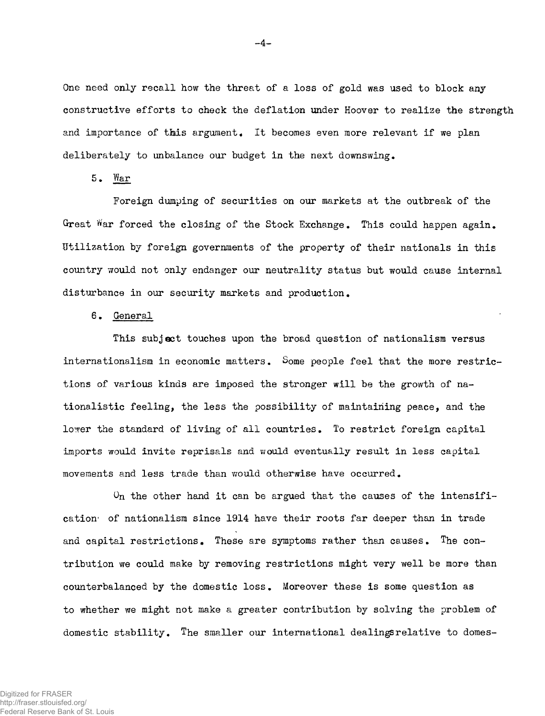One need only recall how the threat of a loss of gold was used to block any constructive efforts to check the deflation under Hoover to realize the strength and importance of this argument. It becomes even more relevant if we plan deliberately to unbalance our budget in the next downswing.

5. War

Foreign dumping of securities on our markets at the outbreak of the Great War forced the closing of the Stock Exchange. This could happen again. Utilization by foreign governments of the property of their nationals in this country would not only endanger our neutrality status but would cause internal disturbance in our security markets and production.

6. General

This subject touches upon the broad question of nationalism versus internationalism in economic matters. Some people feel that the more restrictions of various kinds are imposed the stronger will be the growth of nationalistic feeling, the less the possibility of maintaining peace, and the lower the standard of living of all countries. To restrict foreign capital imports would invite reprisals and would eventually result in less capital movements and less trade than would otherwise have occurred.

 $0<sub>n</sub>$  the other hand it can be argued that the causes of the intensification<sup>6</sup> of nationalism since 1914 have their roots far deeper than in trade and capital restrictions. These are symptoms rather than causes. The contribution we could make by removing restrictions might very well be more than counterbalanced by the domestic loss • Moreover these is some question as to whether we might not make a greater contribution by solving the problem of domestic stability. The smaller our international dealingsrelative to domes-

 $-4-$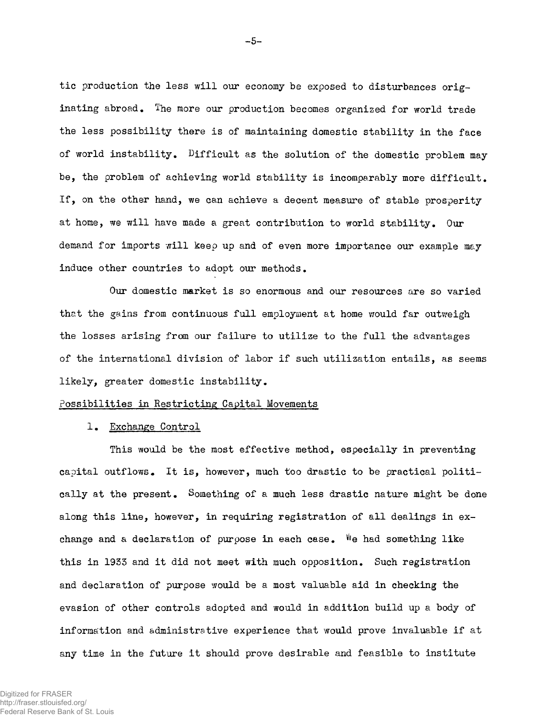tic production the less will our economy be exposed to disturbances originating abroad. The more our production becomes organized for world trade the less possibility there is of maintaining domestic stability in the face of world instability. Difficult as the solution of the domestic problem may be, the problem of achieving world stability is incomparably more difficult. If, on the other hand, we can achieve a decent measure of stable prosperity at home, we will have made a great contribution to world stability. Our demand for imports will keep up and of even more importance our example may induce other countries to adopt our methods.

Our domestic market is so enormous and our resources are so varied that the gains from continuous full employment at home would far outweigh the losses arising from our failure to utilise to the full the advantages of the international division of labor if such utilization entails, as seems likely, greater domestic instability.

#### Possibilities in Restricting Capital Movements

## 1. Exchange Control

This would be the most effective method, especially in preventing capital outflows. It is, however, much too drastic to be practical politically at the present. Something of a much less drastic nature might be done along this line, however, in requiring registration of all dealings in exchange and a declaration of purpose in each case. We had something like this in 1933 and it did not meet with much opposition. Such registration and declaration of purpose would be a most valuable aid in checking the evasion of other controls adopted and would in addition build up a body of information and administrative experience that would prove invaluable if at any time in the future it should prove desirable and feasible to institute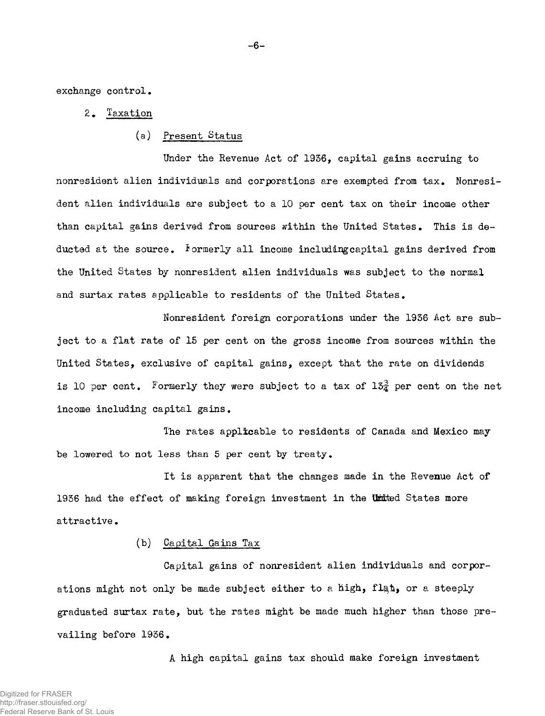exchange control,

## 2, Taxation

(a) Present Status

Under the Revenue Act of 1956, capital gains accruing to nonresident alien individuals and corporations are exempted from tax. Nonresident alien individuals are subject to a 10 per cent tax on their income other than capital gains derived from sources within the United States, This is deducted at the source, formerly all income includingcapital gains derived from the United States by nonresident alien individuals was subject to the normal and surtax rates applicable to residents of the United States,

Nonresident foreign corporations under the 1936 Act are subject to a flat rate of 15 per cent on the gross income from sources within the United States, exclusive of capital gains, except that the rate on dividends is 10 per cent. Formerly they were subject to a tax of  $15\frac{3}{4}$  per cent on the net income including capital gains.

The rates applicable to residents of Canada and Mexico may be lowered to not less than 5 per cent by treaty.

It is apparent that the changes made in the Revenue Act of 1936 had the effect of making foreign investment in the United States more attractive.

## (b) Capital Gains Tax

Capital gains of nonresident alien individuals and corporations might not only be made subject either to a high, flat, or a steeply graduated surtax rate, but the rates might be made much higher than those prevailing before 1936.

A high capital gains tax should make foreign investment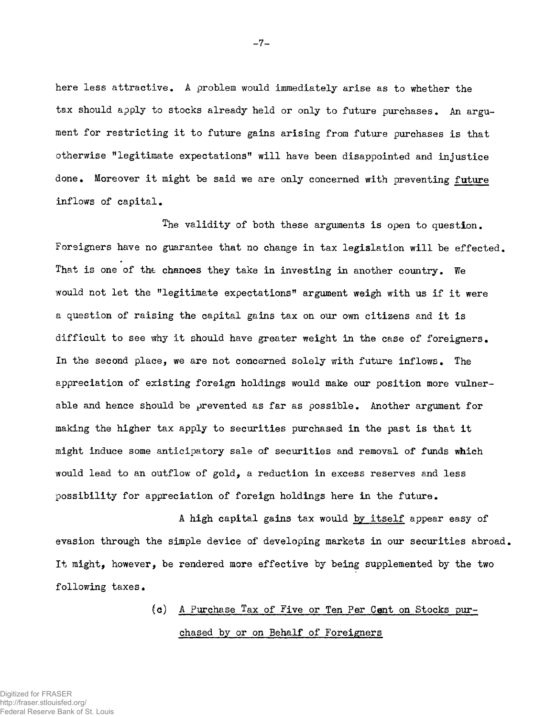here less attractive. A problem would immediately arise as to whether the tax should apply to stocks already held or only to future purchases. An argument for restricting it to future gains arising from future purchases is that otherwise "legitimate expectations" will have been disappointed and injustice done. Moreover it might be said we are only concerned with preventing future inflows of capital.

The validity of both these arguments is open to question. Foreigners have no guarantee that no change in tax legislation will be effected. That is one of the chances they take in investing in another country. We would not let the "legitimate expectations" argument weigh with us if it were a question of raising the capital gains tax on our own citizens and it is difficult to see why it should have greater weight in the case of foreigners. In the second place, we are not concerned solely with future inflows. The appreciation of existing foreign holdings would make our position more vulnerable and hence should be prevented as far as possible. Another argument for making the higher tax apply to securities purchased in the past is that it might induce some anticipatory sale of securities and removal of funds which would lead to an outflow of gold, a reduction in excess reserves and less possibility for appreciation of foreign holdings here in the future.

A high capital gains tax would by itself appear easy of evasion through the simple device of developing markets in our securities abroad, It might, however, be rendered more effective by being supplemented by the two following taxes.

> (c) A Purchase Tax of Five or Ten Per Cent on Stocks purchased by or on Behalf of Foreigners

-7-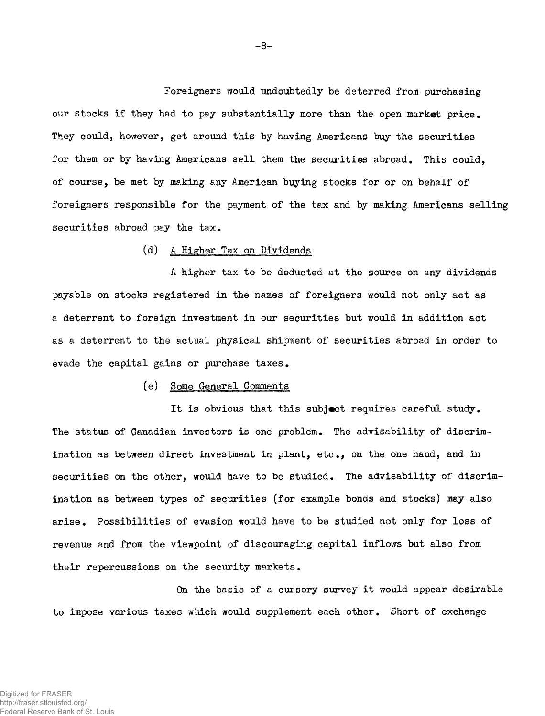Foreigners would undoubtedly be deterred from purchasing our stocks if they had to pay substantially more than the open market price. They could, however, get around this by having Americans buy the securities for them or by having Americans sell them the securities abroad. This could, of course, be met by making any American buying stocks for or on behalf of foreigners responsible for the payment of the tax and by making Americans selling securities abroad pay the  $tax_*$ 

## (d) A Higher Tax on Dividends

A higher tax to be deducted at the source on any dividends payable on stocks registered in the names of foreigners would not only act as a deterrent to foreign investment in our securities but would in addition act as a deterrent to the actual physical shipment of securities abroad in order to evade the capital gains or purchase taxes.

## (e) Some General Comments

It is obvious that this subject requires careful study. The status of Canadian investors is one problem. The advisability of discrimination as between direct investment in plant, etc., on the one hand, and in securities on the other, would have to be studied. The advisability of discrimination as between types of securities (for example bonds and stocks) may also arise. Possibilities of evasion would have to be studied not only for loss of revenue and from the viewpoint of discouraging capital inflows but also from their repercussions on the security markets.

On the basis of a cursory survey it would appear desirable to impose various taxes which would supplement each other. Short of exchange

-8-